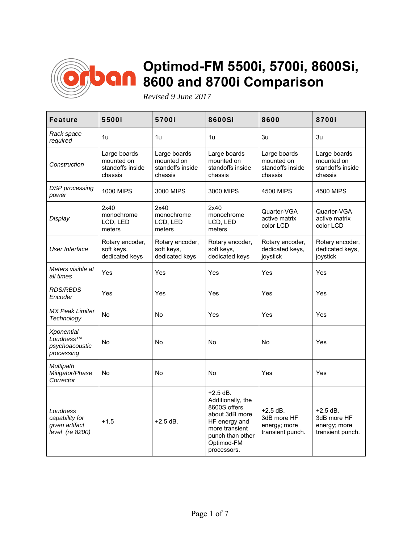

## **Optimod-FM 5500i, 5700i, 8600Si, 8600 and 8700i Comparison**

*Revised 9 June 2017* 

| <b>Feature</b>                                                        | <b>5500i</b>                                              | 5700i                                                     | 8600Si                                                                                                                                                | 8600                                                          | 8700i                                                         |
|-----------------------------------------------------------------------|-----------------------------------------------------------|-----------------------------------------------------------|-------------------------------------------------------------------------------------------------------------------------------------------------------|---------------------------------------------------------------|---------------------------------------------------------------|
| Rack space<br>required                                                | 1u                                                        | 1u                                                        | 1u                                                                                                                                                    | 3u                                                            | 3u                                                            |
| Construction                                                          | Large boards<br>mounted on<br>standoffs inside<br>chassis | Large boards<br>mounted on<br>standoffs inside<br>chassis | Large boards<br>mounted on<br>standoffs inside<br>chassis                                                                                             | Large boards<br>mounted on<br>standoffs inside<br>chassis     | Large boards<br>mounted on<br>standoffs inside<br>chassis     |
| <b>DSP</b> processing<br>power                                        | <b>1000 MIPS</b>                                          | 3000 MIPS                                                 | 3000 MIPS                                                                                                                                             | 4500 MIPS                                                     | 4500 MIPS                                                     |
| Display                                                               | 2x40<br>monochrome<br>LCD, LED<br>meters                  | 2x40<br>monochrome<br>LCD, LED<br>meters                  | 2x40<br>monochrome<br>LCD, LED<br>meters                                                                                                              | Quarter-VGA<br>active matrix<br>color LCD                     | Quarter-VGA<br>active matrix<br>color LCD                     |
| User Interface                                                        | Rotary encoder,<br>soft keys,<br>dedicated keys           | Rotary encoder,<br>soft keys,<br>dedicated keys           | Rotary encoder,<br>soft keys,<br>dedicated keys                                                                                                       | Rotary encoder,<br>dedicated keys,<br>joystick                | Rotary encoder,<br>dedicated keys,<br>joystick                |
| Meters visible at<br>all times                                        | Yes                                                       | Yes                                                       | Yes                                                                                                                                                   | Yes                                                           | Yes                                                           |
| <b>RDS/RBDS</b><br>Encoder                                            | Yes                                                       | Yes                                                       | Yes                                                                                                                                                   | Yes                                                           | Yes                                                           |
| <b>MX Peak Limiter</b><br>Technology                                  | No                                                        | No                                                        | Yes                                                                                                                                                   | Yes                                                           | Yes                                                           |
| <b>Xponential</b><br>Loudness $^{7M}$<br>psychoacoustic<br>processing | No                                                        | <b>No</b>                                                 | No                                                                                                                                                    | <b>No</b>                                                     | Yes                                                           |
| Multipath<br>Mitigator/Phase<br>Corrector                             | No                                                        | No                                                        | No                                                                                                                                                    | Yes                                                           | Yes                                                           |
| Loudness<br>capability for<br>given artifact<br>level (re 8200)       | $+1.5$                                                    | $+2.5$ dB.                                                | $+2.5$ dB.<br>Additionally, the<br>8600S offers<br>about 3dB more<br>HF energy and<br>more transient<br>punch than other<br>Optimod-FM<br>processors. | $+2.5$ dB.<br>3dB more HF<br>energy; more<br>transient punch. | $+2.5$ dB.<br>3dB more HF<br>energy; more<br>transient punch. |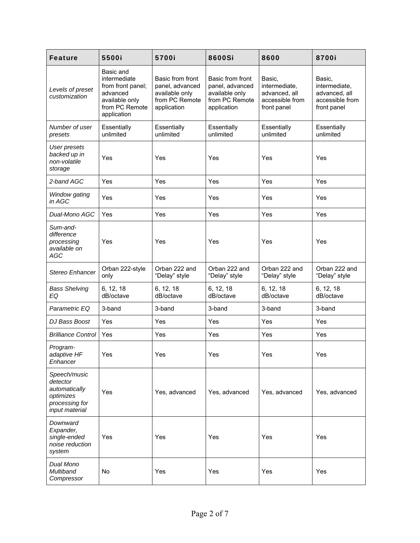| <b>Feature</b>                                                                             | 5500i                                                                                                         | 5700i                                                                                  | 8600Si                                                                                 | 8600                                                                       | 8700i                                                                      |
|--------------------------------------------------------------------------------------------|---------------------------------------------------------------------------------------------------------------|----------------------------------------------------------------------------------------|----------------------------------------------------------------------------------------|----------------------------------------------------------------------------|----------------------------------------------------------------------------|
| Levels of preset<br>customization                                                          | Basic and<br>intermediate<br>from front panel;<br>advanced<br>available only<br>from PC Remote<br>application | Basic from front<br>panel, advanced<br>available only<br>from PC Remote<br>application | Basic from front<br>panel, advanced<br>available only<br>from PC Remote<br>application | Basic,<br>intermediate,<br>advanced, all<br>accessible from<br>front panel | Basic,<br>intermediate,<br>advanced, all<br>accessible from<br>front panel |
| Number of user<br>presets                                                                  | Essentially<br>unlimited                                                                                      | Essentially<br>unlimited                                                               | Essentially<br>unlimited                                                               | Essentially<br>unlimited                                                   | Essentially<br>unlimited                                                   |
| <b>User presets</b><br>backed up in<br>non-volatile<br>storage                             | Yes                                                                                                           | Yes                                                                                    | Yes                                                                                    | Yes                                                                        | Yes                                                                        |
| 2-band AGC                                                                                 | Yes                                                                                                           | Yes                                                                                    | Yes                                                                                    | Yes                                                                        | Yes                                                                        |
| Window gating<br>in AGC                                                                    | Yes                                                                                                           | Yes                                                                                    | Yes                                                                                    | Yes                                                                        | Yes                                                                        |
| Dual-Mono AGC                                                                              | Yes                                                                                                           | Yes                                                                                    | Yes                                                                                    | Yes                                                                        | Yes                                                                        |
| Sum-and-<br>difference<br>processing<br>available on<br>AGC                                | Yes                                                                                                           | Yes                                                                                    | Yes                                                                                    | Yes                                                                        | Yes                                                                        |
| Stereo Enhancer                                                                            | Orban 222-style<br>only                                                                                       | Orban 222 and<br>"Delay" style                                                         | Orban 222 and<br>"Delay" style                                                         | Orban 222 and<br>"Delay" style                                             | Orban 222 and<br>"Delay" style                                             |
| <b>Bass Shelving</b><br>EQ                                                                 | 6, 12, 18<br>dB/octave                                                                                        | 6, 12, 18<br>dB/octave                                                                 | 6, 12, 18<br>dB/octave                                                                 | 6, 12, 18<br>dB/octave                                                     | 6, 12, 18<br>dB/octave                                                     |
| Parametric EQ                                                                              | 3-band                                                                                                        | 3-band                                                                                 | 3-band                                                                                 | 3-band                                                                     | 3-band                                                                     |
| DJ Bass Boost                                                                              | Yes                                                                                                           | Yes                                                                                    | Yes                                                                                    | Yes                                                                        | Yes                                                                        |
| <b>Brilliance Control</b>                                                                  | Yes                                                                                                           | Yes                                                                                    | Yes                                                                                    | Yes                                                                        | Yes                                                                        |
| Program-<br>adaptive HF<br>Enhancer                                                        | Yes                                                                                                           | Yes                                                                                    | Yes                                                                                    | Yes                                                                        | Yes                                                                        |
| Speech/music<br>detector<br>automatically<br>optimizes<br>processing for<br>input material | Yes                                                                                                           | Yes, advanced                                                                          | Yes, advanced                                                                          | Yes, advanced                                                              | Yes, advanced                                                              |
| Downward<br>Expander,<br>single-ended<br>noise reduction<br>system                         | Yes                                                                                                           | Yes                                                                                    | Yes                                                                                    | Yes                                                                        | Yes                                                                        |
| Dual Mono<br>Multiband<br>Compressor                                                       | No                                                                                                            | Yes                                                                                    | Yes                                                                                    | Yes                                                                        | Yes                                                                        |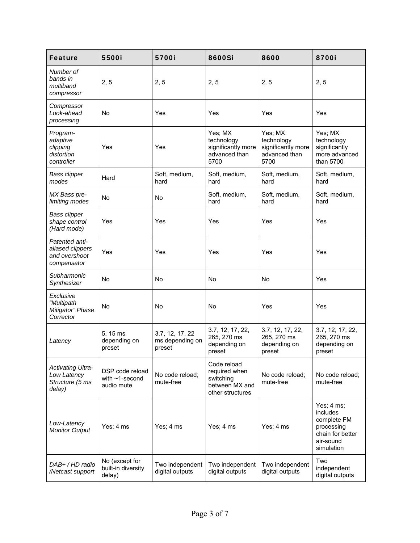| <b>Feature</b>                                                       | 5500i                                                 | 5700i                                        | 8600Si                                                                          | 8600                                                                 | 8700i                                                                                              |
|----------------------------------------------------------------------|-------------------------------------------------------|----------------------------------------------|---------------------------------------------------------------------------------|----------------------------------------------------------------------|----------------------------------------------------------------------------------------------------|
| Number of<br>bands in<br>multiband<br>compressor                     | 2, 5                                                  | 2, 5                                         | 2, 5                                                                            | 2, 5                                                                 | 2, 5                                                                                               |
| Compressor<br>Look-ahead<br>processing                               | <b>No</b>                                             | Yes                                          | Yes                                                                             | Yes                                                                  | Yes                                                                                                |
| Program-<br>adaptive<br>clipping<br>distortion<br>controller         | Yes                                                   | Yes                                          | Yes; MX<br>technology<br>significantly more<br>advanced than<br>5700            | Yes; MX<br>technology<br>significantly more<br>advanced than<br>5700 | Yes; MX<br>technology<br>significantly<br>more advanced<br>than 5700                               |
| <b>Bass clipper</b><br>modes                                         | Hard                                                  | Soft, medium,<br>hard                        | Soft, medium,<br>hard                                                           | Soft, medium,<br>hard                                                | Soft, medium,<br>hard                                                                              |
| MX Bass pre-<br>limiting modes                                       | No                                                    | No                                           | Soft, medium,<br>hard                                                           | Soft, medium,<br>hard                                                | Soft, medium,<br>hard                                                                              |
| <b>Bass clipper</b><br>shape control<br>(Hard mode)                  | Yes                                                   | Yes                                          | Yes                                                                             | Yes                                                                  | Yes                                                                                                |
| Patented anti-<br>aliased clippers<br>and overshoot<br>compensator   | Yes                                                   | Yes                                          | Yes                                                                             | Yes                                                                  | Yes                                                                                                |
| Subharmonic<br>Synthesizer                                           | <b>No</b>                                             | No                                           | <b>No</b>                                                                       | No                                                                   | Yes                                                                                                |
| Exclusive<br>"Multipath<br>Mitigator" Phase<br>Corrector             | No                                                    | No                                           | No                                                                              | Yes                                                                  | Yes                                                                                                |
| Latency                                                              | 5.15 ms<br>depending on<br>preset                     | 3.7, 12, 17, 22<br>ms depending on<br>preset | 3.7, 12, 17, 22,<br>265, 270 ms<br>depending on<br>preset                       | 3.7, 12, 17, 22,<br>265, 270 ms<br>depending on<br>preset            | 3.7, 12, 17, 22,<br>265, 270 ms<br>depending on<br>preset                                          |
| <b>Activating Ultra-</b><br>Low Latency<br>Structure (5 ms<br>delay) | DSP code reload<br>with $\sim$ 1-second<br>audio mute | No code reload;<br>mute-free                 | Code reload<br>required when<br>switching<br>between MX and<br>other structures | No code reload;<br>mute-free                                         | No code reload;<br>mute-free                                                                       |
| Low-Latency<br><b>Monitor Output</b>                                 | Yes; 4 ms                                             | Yes; 4 ms                                    | Yes; 4 ms                                                                       | Yes; 4 ms                                                            | Yes; 4 ms;<br>includes<br>complete FM<br>processing<br>chain for better<br>air-sound<br>simulation |
| DAB+ / HD radio<br>/Netcast support                                  | No (except for<br>built-in diversity<br>delay)        | Two independent<br>digital outputs           | Two independent<br>digital outputs                                              | Two independent<br>digital outputs                                   | Two<br>independent<br>digital outputs                                                              |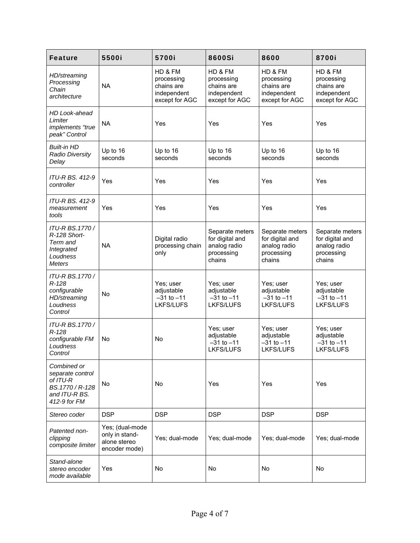| <b>Feature</b>                                                                                  | 5500i                                                              | 5700i                                                                | 8600Si                                                                     | 8600                                                                       | 8700i                                                                      |
|-------------------------------------------------------------------------------------------------|--------------------------------------------------------------------|----------------------------------------------------------------------|----------------------------------------------------------------------------|----------------------------------------------------------------------------|----------------------------------------------------------------------------|
| HD/streaming<br>Processing<br>Chain<br>architecture                                             | <b>NA</b>                                                          | HD & FM<br>processing<br>chains are<br>independent<br>except for AGC | HD & FM<br>processing<br>chains are<br>independent<br>except for AGC       | HD & FM<br>processing<br>chains are<br>independent<br>except for AGC       | HD & FM<br>processing<br>chains are<br>independent<br>except for AGC       |
| HD Look-ahead<br>Limiter<br>implements "true<br>peak" Control                                   | <b>NA</b>                                                          | Yes                                                                  | Yes                                                                        | Yes                                                                        | Yes                                                                        |
| <b>Built-in HD</b><br><b>Radio Diversity</b><br>Delay                                           | Up to 16<br>seconds                                                | Up to 16<br>seconds                                                  | Up to 16<br>seconds                                                        | Up to 16<br>seconds                                                        | Up to 16<br>seconds                                                        |
| <b>ITU-R BS, 412-9</b><br>controller                                                            | Yes                                                                | Yes                                                                  | Yes                                                                        | Yes                                                                        | Yes                                                                        |
| ITU-R BS. 412-9<br>measurement<br>tools                                                         | Yes                                                                | Yes                                                                  | Yes                                                                        | Yes                                                                        | Yes                                                                        |
| ITU-R BS.1770/<br>R-128 Short-<br>Term and<br>Integrated<br>Loudness<br><b>Meters</b>           | <b>NA</b>                                                          | Digital radio<br>processing chain<br>only                            | Separate meters<br>for digital and<br>analog radio<br>processing<br>chains | Separate meters<br>for digital and<br>analog radio<br>processing<br>chains | Separate meters<br>for digital and<br>analog radio<br>processing<br>chains |
| ITU-R BS.1770/<br>$R-128$<br>configurable<br>HD/streaming<br>Loudness<br>Control                | <b>No</b>                                                          | Yes; user<br>adjustable<br>$-31$ to $-11$<br><b>LKFS/LUFS</b>        | Yes; user<br>adjustable<br>$-31$ to $-11$<br><b>LKFS/LUFS</b>              | Yes; user<br>adjustable<br>$-31$ to $-11$<br>LKFS/LUFS                     | Yes; user<br>adjustable<br>$-31$ to $-11$<br><b>LKFS/LUFS</b>              |
| ITU-R BS.1770/<br>$R-128$<br>configurable FM<br>Loudness<br>Control                             | No                                                                 | No                                                                   | Yes; user<br>adjustable<br>$-31$ to $-11$<br><b>LKFS/LUFS</b>              | Yes; user<br>adjustable<br>$-31$ to $-11$<br><b>LKFS/LUFS</b>              | Yes; user<br>adjustable<br>$-31$ to $-11$<br><b>LKFS/LUFS</b>              |
| Combined or<br>separate control<br>of ITU-R<br>BS.1770 / R-128<br>and ITU-R BS.<br>412-9 for FM | No                                                                 | No                                                                   | Yes                                                                        | Yes                                                                        | Yes                                                                        |
| Stereo coder                                                                                    | <b>DSP</b>                                                         | <b>DSP</b>                                                           | <b>DSP</b>                                                                 | <b>DSP</b>                                                                 | <b>DSP</b>                                                                 |
| Patented non-<br>clipping<br>composite limiter                                                  | Yes; (dual-mode<br>only in stand-<br>alone stereo<br>encoder mode) | Yes; dual-mode                                                       | Yes; dual-mode                                                             | Yes; dual-mode                                                             | Yes; dual-mode                                                             |
| Stand-alone<br>stereo encoder<br>mode available                                                 | Yes                                                                | No                                                                   | No                                                                         | No                                                                         | No                                                                         |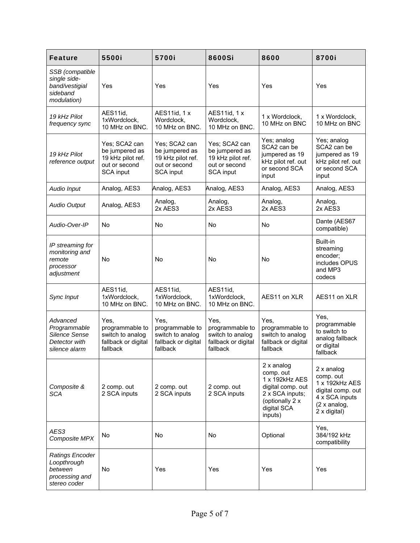| <b>Feature</b>                                                               | 5500i                                                                              | 5700i                                                                                     | 8600Si                                                                                    | 8600                                                                                                                           | 8700i                                                                                                             |
|------------------------------------------------------------------------------|------------------------------------------------------------------------------------|-------------------------------------------------------------------------------------------|-------------------------------------------------------------------------------------------|--------------------------------------------------------------------------------------------------------------------------------|-------------------------------------------------------------------------------------------------------------------|
| SSB (compatible<br>single side-<br>band/vestigial<br>sideband<br>modulation) | Yes                                                                                | <b>Yes</b>                                                                                | Yes                                                                                       | Yes                                                                                                                            | Yes                                                                                                               |
| 19 kHz Pilot<br>frequency sync                                               | AES11id,<br>1xWordclock,<br>10 MHz on BNC.                                         | AES11id, 1 x<br>Wordclock,<br>10 MHz on BNC.                                              | AES11id, 1 x<br>Wordclock,<br>10 MHz on BNC.                                              | 1 x Wordclock,<br>10 MHz on BNC                                                                                                | 1 x Wordclock,<br>10 MHz on BNC                                                                                   |
| 19 kHz Pilot<br>reference output                                             | Yes; SCA2 can<br>be jumpered as<br>19 kHz pilot ref.<br>out or second<br>SCA input | Yes; SCA2 can<br>be jumpered as<br>19 kHz pilot ref.<br>out or second<br><b>SCA input</b> | Yes; SCA2 can<br>be jumpered as<br>19 kHz pilot ref.<br>out or second<br><b>SCA input</b> | Yes; analog<br>SCA2 can be<br>jumpered as 19<br>kHz pilot ref. out<br>or second SCA<br>input                                   | Yes; analog<br>SCA2 can be<br>jumpered as 19<br>kHz pilot ref. out<br>or second SCA<br>input                      |
| Audio Input                                                                  | Analog, AES3                                                                       | Analog, AES3                                                                              | Analog, AES3                                                                              | Analog, AES3                                                                                                                   | Analog, AES3                                                                                                      |
| <b>Audio Output</b>                                                          | Analog, AES3                                                                       | Analog,<br>2x AES3                                                                        | Analog,<br>2x AES3                                                                        | Analog,<br>2x AES3                                                                                                             | Analog,<br>2x AES3                                                                                                |
| Audio-Over-IP                                                                | No                                                                                 | No                                                                                        | No                                                                                        | No                                                                                                                             | Dante (AES67<br>compatible)                                                                                       |
| IP streaming for<br>monitoring and<br>remote<br>processor<br>adjustment      | No                                                                                 | No                                                                                        | No                                                                                        | <b>No</b>                                                                                                                      | Built-in<br>streaming<br>encoder;<br>includes OPUS<br>and MP3<br>codecs                                           |
| Sync Input                                                                   | AES11id,<br>1xWordclock,<br>10 MHz on BNC.                                         | AES11id,<br>1xWordclock,<br>10 MHz on BNC.                                                | AES11id,<br>1xWordclock,<br>10 MHz on BNC.                                                | AES11 on XLR                                                                                                                   | AES11 on XLR                                                                                                      |
| Advanced<br>Programmable<br>Silence Sense<br>Detector with<br>silence alarm  | Yes,<br>programmable to<br>switch to analog<br>fallback or digital<br>fallback     | Yes,<br>programmable to<br>switch to analog<br>fallback or digital<br>fallback            | Yes,<br>programmable to<br>switch to analog<br>fallback or digital<br>fallback            | Yes,<br>programmable to<br>switch to analog<br>fallback or digital<br>fallback                                                 | Yes,<br>programmable<br>to switch to<br>analog fallback<br>or digital<br>fallback                                 |
| Composite &<br><b>SCA</b>                                                    | 2 comp. out<br>2 SCA inputs                                                        | 2 comp. out<br>2 SCA inputs                                                               | 2 comp. out<br>2 SCA inputs                                                               | 2 x analog<br>comp. out<br>1 x 192kHz AES<br>digital comp. out<br>2 x SCA inputs;<br>(optionally 2 x<br>digital SCA<br>inputs) | 2 x analog<br>comp. out<br>1 x 192kHz AES<br>digital comp. out<br>4 x SCA inputs<br>(2 x and log,<br>2 x digital) |
| AES3<br>Composite MPX                                                        | No                                                                                 | No                                                                                        | No                                                                                        | Optional                                                                                                                       | Yes,<br>384/192 kHz<br>compatibility                                                                              |
| Ratings Encoder<br>Loopthrough<br>between<br>processing and<br>stereo coder  | No                                                                                 | Yes                                                                                       | <b>Yes</b>                                                                                | Yes                                                                                                                            | Yes                                                                                                               |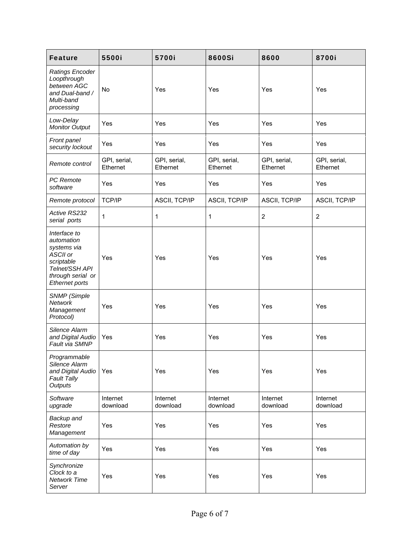| <b>Feature</b>                                                                                                               | 5500i                    | 5700i                    | 8600Si                   | 8600                     | 8700i                    |
|------------------------------------------------------------------------------------------------------------------------------|--------------------------|--------------------------|--------------------------|--------------------------|--------------------------|
| Ratings Encoder<br>Loopthrough<br>between AGC<br>and Dual-band /<br>Multi-band<br>processing                                 | No                       | Yes                      | Yes                      | Yes                      | Yes                      |
| Low-Delay<br><b>Monitor Output</b>                                                                                           | Yes                      | Yes                      | Yes                      | Yes                      | Yes                      |
| Front panel<br>security lockout                                                                                              | Yes                      | Yes                      | Yes                      | Yes                      | Yes                      |
| Remote control                                                                                                               | GPI, serial,<br>Ethernet | GPI, serial,<br>Ethernet | GPI, serial,<br>Ethernet | GPI, serial,<br>Ethernet | GPI, serial,<br>Ethernet |
| PC Remote<br>software                                                                                                        | Yes                      | Yes                      | Yes                      | Yes                      | Yes                      |
| Remote protocol                                                                                                              | TCP/IP                   | ASCII, TCP/IP            | ASCII, TCP/IP            | ASCII, TCP/IP            | ASCII, TCP/IP            |
| Active RS232<br>serial ports                                                                                                 | 1                        | $\mathbf{1}$             | 1                        | $\overline{c}$           | $\overline{c}$           |
| Interface to<br>automation<br>systems via<br>ASCII or<br>scriptable<br>Telnet/SSH API<br>through serial or<br>Ethernet ports | Yes                      | Yes                      | Yes                      | Yes                      | Yes                      |
| <b>SNMP</b> (Simple<br><b>Network</b><br>Management<br>Protocol)                                                             | Yes                      | Yes                      | Yes                      | Yes                      | Yes                      |
| Silence Alarm<br>and Digital Audio<br>Fault via SMNP                                                                         | Yes                      | Yes                      | Yes                      | Yes                      | Yes                      |
| Programmable<br>Silence Alarm<br>and Digital Audio<br><b>Fault Tally</b><br>Outputs                                          | Yes                      | Yes                      | Yes                      | Yes                      | Yes                      |
| Software<br>upgrade                                                                                                          | Internet<br>download     | Internet<br>download     | Internet<br>download     | Internet<br>download     | Internet<br>download     |
| Backup and<br>Restore<br>Management                                                                                          | Yes                      | Yes                      | Yes                      | Yes                      | Yes                      |
| Automation by<br>time of day                                                                                                 | Yes                      | Yes                      | Yes                      | Yes                      | Yes                      |
| Synchronize<br>Clock to a<br>Network Time<br>Server                                                                          | Yes                      | Yes                      | Yes                      | Yes                      | Yes                      |